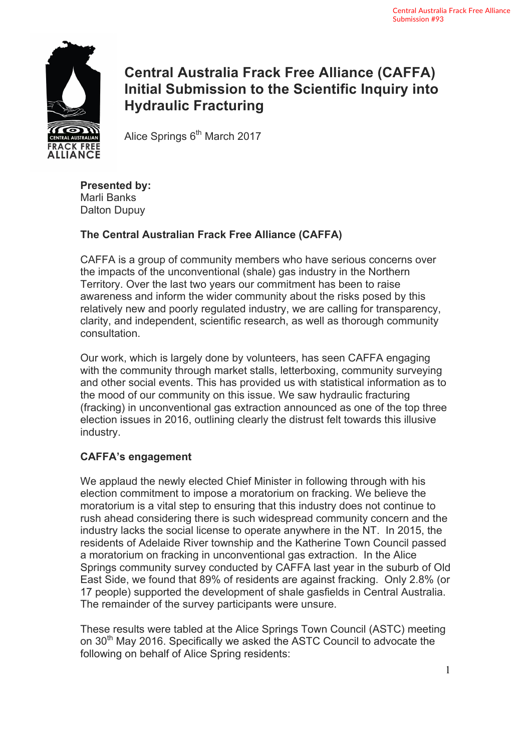

# **Central Australia Frack Free Alliance (CAFFA) Initial Submission to the Scientific Inquiry into Hydraulic Fracturing**

Alice Springs  $6<sup>th</sup>$  March 2017

**Presented by:**  Marli Banks Dalton Dupuy

# **The Central Australian Frack Free Alliance (CAFFA)**

CAFFA is a group of community members who have serious concerns over the impacts of the unconventional (shale) gas industry in the Northern Territory. Over the last two years our commitment has been to raise awareness and inform the wider community about the risks posed by this relatively new and poorly regulated industry, we are calling for transparency, clarity, and independent, scientific research, as well as thorough community consultation.

Our work, which is largely done by volunteers, has seen CAFFA engaging with the community through market stalls, letterboxing, community surveying and other social events. This has provided us with statistical information as to the mood of our community on this issue. We saw hydraulic fracturing (fracking) in unconventional gas extraction announced as one of the top three election issues in 2016, outlining clearly the distrust felt towards this illusive industry.

# **CAFFA's engagement**

We applaud the newly elected Chief Minister in following through with his election commitment to impose a moratorium on fracking. We believe the moratorium is a vital step to ensuring that this industry does not continue to rush ahead considering there is such widespread community concern and the industry lacks the social license to operate anywhere in the NT. In 2015, the residents of Adelaide River township and the Katherine Town Council passed a moratorium on fracking in unconventional gas extraction. In the Alice Springs community survey conducted by CAFFA last year in the suburb of Old East Side, we found that 89% of residents are against fracking. Only 2.8% (or 17 people) supported the development of shale gasfields in Central Australia. The remainder of the survey participants were unsure.

These results were tabled at the Alice Springs Town Council (ASTC) meeting on 30th May 2016. Specifically we asked the ASTC Council to advocate the following on behalf of Alice Spring residents: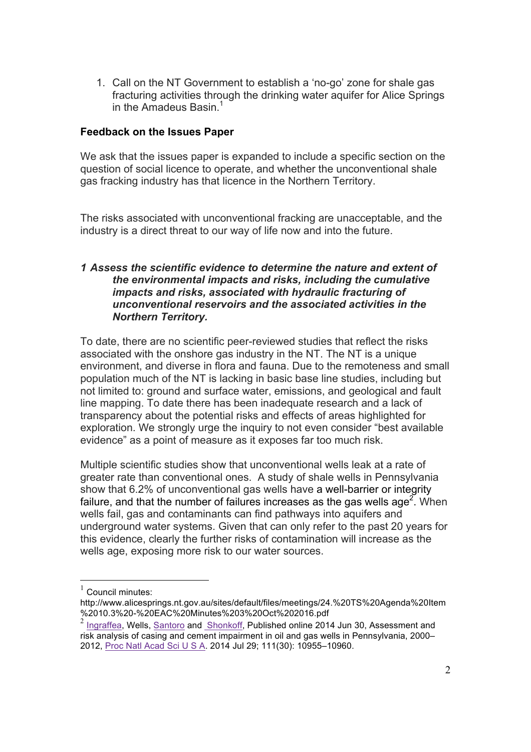1. Call on the NT Government to establish a 'no-go' zone for shale gas fracturing activities through the drinking water aquifer for Alice Springs in the Amadeus Basin.<sup>1</sup>

# **Feedback on the Issues Paper**

We ask that the issues paper is expanded to include a specific section on the question of social licence to operate, and whether the unconventional shale gas fracking industry has that licence in the Northern Territory.

The risks associated with unconventional fracking are unacceptable, and the industry is a direct threat to our way of life now and into the future.

### *1 Assess the scientific evidence to determine the nature and extent of the environmental impacts and risks, including the cumulative impacts and risks, associated with hydraulic fracturing of unconventional reservoirs and the associated activities in the Northern Territory.*

To date, there are no scientific peer-reviewed studies that reflect the risks associated with the onshore gas industry in the NT. The NT is a unique environment, and diverse in flora and fauna. Due to the remoteness and small population much of the NT is lacking in basic base line studies, including but not limited to: ground and surface water, emissions, and geological and fault line mapping. To date there has been inadequate research and a lack of transparency about the potential risks and effects of areas highlighted for exploration. We strongly urge the inquiry to not even consider "best available evidence" as a point of measure as it exposes far too much risk.

Multiple scientific studies show that unconventional wells leak at a rate of greater rate than conventional ones. A study of shale wells in Pennsylvania show that 6.2% of unconventional gas wells have a well-barrier or integrity failure, and that the number of failures increases as the gas wells age<sup>2</sup>. When wells fail, gas and contaminants can find pathways into aquifers and underground water systems. Given that can only refer to the past 20 years for this evidence, clearly the further risks of contamination will increase as the wells age, exposing more risk to our water sources.

 $1$  Council minutes:

http://www.alicesprings.nt.gov.au/sites/default/files/meetings/24.%20TS%20Agenda%20Item %2010.3%20-%20EAC%20Minutes%203%20Oct%202016.pdf

<sup>&</sup>lt;sup>2</sup> Ingraffea, Wells, Santoro and Shonkoff, Published online 2014 Jun 30, Assessment and risk analysis of casing and cement impairment in oil and gas wells in Pennsylvania, 2000– 2012, Proc Natl Acad Sci U S A. 2014 Jul 29; 111(30): 10955–10960.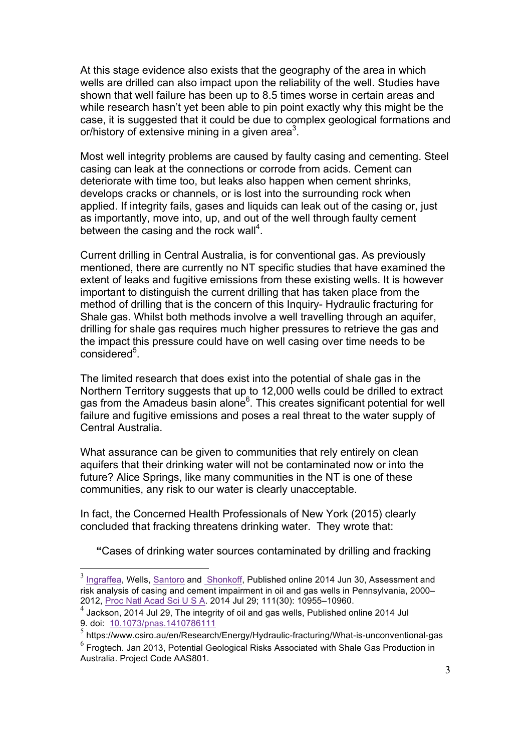At this stage evidence also exists that the geography of the area in which wells are drilled can also impact upon the reliability of the well. Studies have shown that well failure has been up to 8.5 times worse in certain areas and while research hasn't yet been able to pin point exactly why this might be the case, it is suggested that it could be due to complex geological formations and or/history of extensive mining in a given area<sup>3</sup>.

Most well integrity problems are caused by faulty casing and cementing. Steel casing can leak at the connections or corrode from acids. Cement can deteriorate with time too, but leaks also happen when cement shrinks, develops cracks or channels, or is lost into the surrounding rock when applied. If integrity fails, gases and liquids can leak out of the casing or, just as importantly, move into, up, and out of the well through faulty cement between the casing and the rock wall<sup>4</sup>.

Current drilling in Central Australia, is for conventional gas. As previously mentioned, there are currently no NT specific studies that have examined the extent of leaks and fugitive emissions from these existing wells. It is however important to distinguish the current drilling that has taken place from the method of drilling that is the concern of this Inquiry- Hydraulic fracturing for Shale gas. Whilst both methods involve a well travelling through an aquifer, drilling for shale gas requires much higher pressures to retrieve the gas and the impact this pressure could have on well casing over time needs to be considered<sup>5</sup>.

The limited research that does exist into the potential of shale gas in the Northern Territory suggests that up to 12,000 wells could be drilled to extract gas from the Amadeus basin alone<sup>6</sup>. This creates significant potential for well failure and fugitive emissions and poses a real threat to the water supply of Central Australia.

What assurance can be given to communities that rely entirely on clean aquifers that their drinking water will not be contaminated now or into the future? Alice Springs, like many communities in the NT is one of these communities, any risk to our water is clearly unacceptable.

In fact, the Concerned Health Professionals of New York (2015) clearly concluded that fracking threatens drinking water. They wrote that:

**"**Cases of drinking water sources contaminated by drilling and fracking

<sup>&</sup>lt;sup>3</sup> Ingraffea, Wells, Santoro and Shonkoff, Published online 2014 Jun 30, Assessment and risk analysis of casing and cement impairment in oil and gas wells in Pennsylvania, 2000– 2012, Proc Natl Acad Sci U S A. 2014 Jul 29; 111(30): 10955–10960.

 $4$  Jackson, 2014 Jul 29, The integrity of oil and gas wells, Published online 2014 Jul 9. doi: 10.1073/pnas.1410786111

<sup>5</sup> https://www.csiro.au/en/Research/Energy/Hydraulic-fracturing/What-is-unconventional-gas

<sup>6</sup> Frogtech. Jan 2013, Potential Geological Risks Associated with Shale Gas Production in Australia. Project Code AAS801.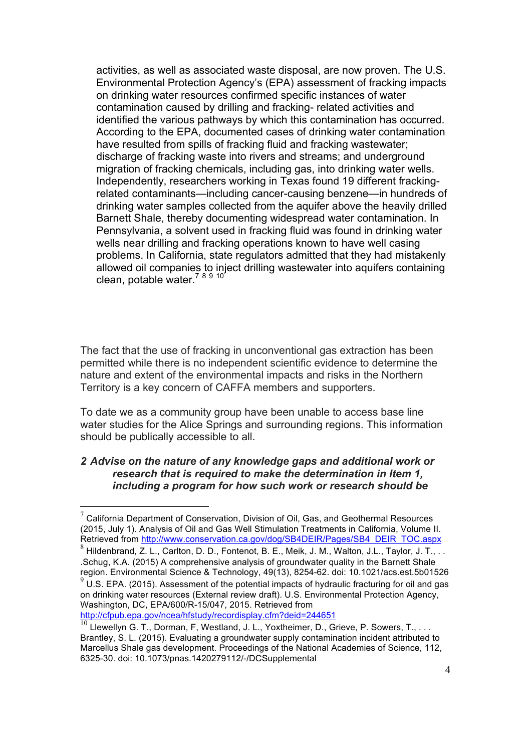activities, as well as associated waste disposal, are now proven. The U.S. Environmental Protection Agency's (EPA) assessment of fracking impacts on drinking water resources confirmed specific instances of water contamination caused by drilling and fracking- related activities and identified the various pathways by which this contamination has occurred. According to the EPA, documented cases of drinking water contamination have resulted from spills of fracking fluid and fracking wastewater; discharge of fracking waste into rivers and streams; and underground migration of fracking chemicals, including gas, into drinking water wells. Independently, researchers working in Texas found 19 different frackingrelated contaminants—including cancer-causing benzene—in hundreds of drinking water samples collected from the aquifer above the heavily drilled Barnett Shale, thereby documenting widespread water contamination. In Pennsylvania, a solvent used in fracking fluid was found in drinking water wells near drilling and fracking operations known to have well casing problems. In California, state regulators admitted that they had mistakenly allowed oil companies to inject drilling wastewater into aquifers containing clean, potable water.<sup>78910</sup>

The fact that the use of fracking in unconventional gas extraction has been permitted while there is no independent scientific evidence to determine the nature and extent of the environmental impacts and risks in the Northern Territory is a key concern of CAFFA members and supporters.

To date we as a community group have been unable to access base line water studies for the Alice Springs and surrounding regions. This information should be publically accessible to all.

### *2 Advise on the nature of any knowledge gaps and additional work or research that is required to make the determination in Item 1, including a program for how such work or research should be*

 $7$  California Department of Conservation, Division of Oil, Gas, and Geothermal Resources (2015, July 1). Analysis of Oil and Gas Well Stimulation Treatments in California, Volume II. Retrieved from http://www.conservation.ca.gov/dog/SB4DEIR/Pages/SB4 DEIR TOC.aspx

<sup>8</sup> Hildenbrand, Z. L., Carlton, D. D., Fontenot, B. E., Meik, J. M., Walton, J.L., Taylor, J. T., .. .Schug, K.A. (2015) A comprehensive analysis of groundwater quality in the Barnett Shale region. Environmental Science & Technology, 49(13), 8254-62. doi: 10.1021/acs.est.5b01526

 $9$  U.S. EPA. (2015). Assessment of the potential impacts of hydraulic fracturing for oil and gas on drinking water resources (External review draft). U.S. Environmental Protection Agency, Washington, DC, EPA/600/R-15/047, 2015. Retrieved from http://cfpub.epa.gov/ncea/hfstudy/recordisplay.cfm?deid=244651

 $\frac{10}{10}$  Llewellyn G. T., Dorman, F, Westland, J. L., Yoxtheimer, D., Grieve, P. Sowers, T., ... Brantley, S. L. (2015). Evaluating a groundwater supply contamination incident attributed to Marcellus Shale gas development. Proceedings of the National Academies of Science, 112, 6325-30. doi: 10.1073/pnas.1420279112/-/DCSupplemental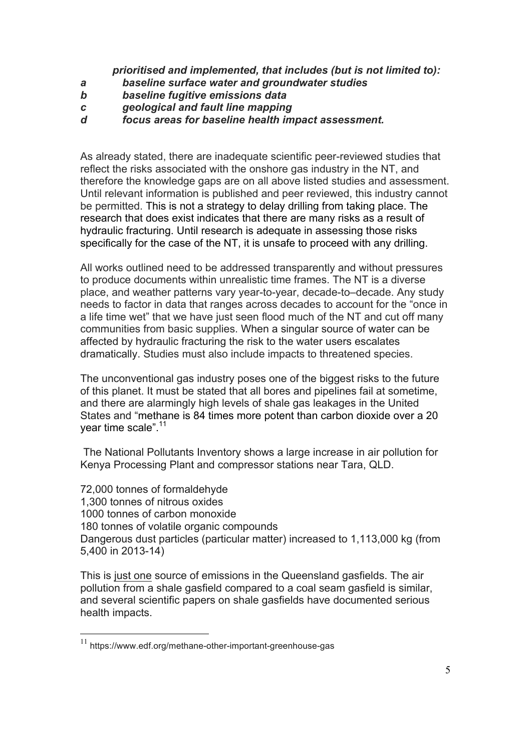*prioritised and implemented, that includes (but is not limited to):*

- *a baseline surface water and groundwater studies*
- *b baseline fugitive emissions data*
- *c geological and fault line mapping*
- *d focus areas for baseline health impact assessment.*

As already stated, there are inadequate scientific peer-reviewed studies that reflect the risks associated with the onshore gas industry in the NT, and therefore the knowledge gaps are on all above listed studies and assessment. Until relevant information is published and peer reviewed, this industry cannot be permitted. This is not a strategy to delay drilling from taking place. The research that does exist indicates that there are many risks as a result of hydraulic fracturing. Until research is adequate in assessing those risks specifically for the case of the NT, it is unsafe to proceed with any drilling.

All works outlined need to be addressed transparently and without pressures to produce documents within unrealistic time frames. The NT is a diverse place, and weather patterns vary year-to-year, decade-to–decade. Any study needs to factor in data that ranges across decades to account for the "once in a life time wet" that we have just seen flood much of the NT and cut off many communities from basic supplies. When a singular source of water can be affected by hydraulic fracturing the risk to the water users escalates dramatically. Studies must also include impacts to threatened species.

The unconventional gas industry poses one of the biggest risks to the future of this planet. It must be stated that all bores and pipelines fail at sometime, and there are alarmingly high levels of shale gas leakages in the United States and "methane is 84 times more potent than carbon dioxide over a 20 year time scale".<sup>11</sup>

The National Pollutants Inventory shows a large increase in air pollution for Kenya Processing Plant and compressor stations near Tara, QLD.

72,000 tonnes of formaldehyde 1,300 tonnes of nitrous oxides 1000 tonnes of carbon monoxide 180 tonnes of volatile organic compounds Dangerous dust particles (particular matter) increased to 1,113,000 kg (from 5,400 in 2013-14)

This is just one source of emissions in the Queensland gasfields. The air pollution from a shale gasfield compared to a coal seam gasfield is similar, and several scientific papers on shale gasfields have documented serious health impacts.

<sup>11</sup> https://www.edf.org/methane-other-important-greenhouse-gas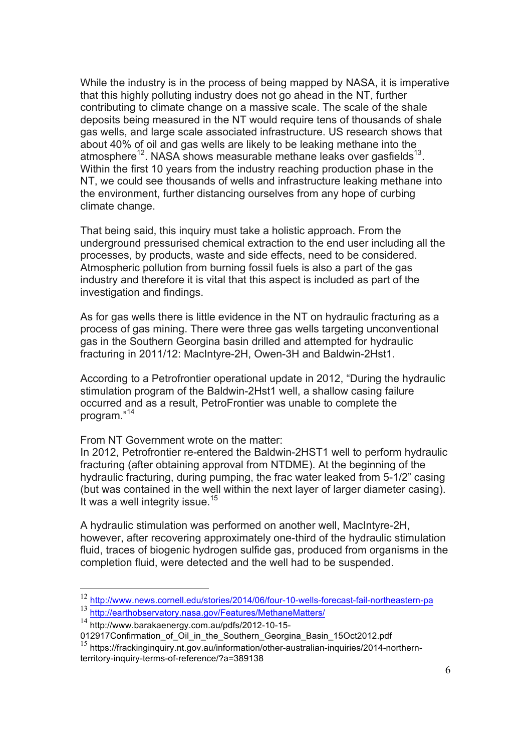While the industry is in the process of being mapped by NASA, it is imperative that this highly polluting industry does not go ahead in the NT, further contributing to climate change on a massive scale. The scale of the shale deposits being measured in the NT would require tens of thousands of shale gas wells, and large scale associated infrastructure. US research shows that about 40% of oil and gas wells are likely to be leaking methane into the atmosphere<sup>12</sup>. NASA shows measurable methane leaks over gasfields<sup>13</sup>. Within the first 10 years from the industry reaching production phase in the NT, we could see thousands of wells and infrastructure leaking methane into the environment, further distancing ourselves from any hope of curbing climate change.

That being said, this inquiry must take a holistic approach. From the underground pressurised chemical extraction to the end user including all the processes, by products, waste and side effects, need to be considered. Atmospheric pollution from burning fossil fuels is also a part of the gas industry and therefore it is vital that this aspect is included as part of the investigation and findings.

As for gas wells there is little evidence in the NT on hydraulic fracturing as a process of gas mining. There were three gas wells targeting unconventional gas in the Southern Georgina basin drilled and attempted for hydraulic fracturing in 2011/12: MacIntyre-2H, Owen-3H and Baldwin-2Hst1.

According to a Petrofrontier operational update in 2012, "During the hydraulic stimulation program of the Baldwin-2Hst1 well, a shallow casing failure occurred and as a result, PetroFrontier was unable to complete the program."<sup>14</sup>

From NT Government wrote on the matter:

In 2012, Petrofrontier re-entered the Baldwin-2HST1 well to perform hydraulic fracturing (after obtaining approval from NTDME). At the beginning of the hydraulic fracturing, during pumping, the frac water leaked from 5-1/2" casing (but was contained in the well within the next layer of larger diameter casing). It was a well integrity issue.<sup>15</sup>

A hydraulic stimulation was performed on another well, MacIntyre-2H, however, after recovering approximately one-third of the hydraulic stimulation fluid, traces of biogenic hydrogen sulfide gas, produced from organisms in the completion fluid, were detected and the well had to be suspended.

<sup>12</sup> http://www.news.cornell.edu/stories/2014/06/four-10-wells-forecast-fail-northeastern-pa

<sup>13</sup> http://earthobservatory.nasa.gov/Features/MethaneMatters/

<sup>14</sup> http://www.barakaenergy.com.au/pdfs/2012-10-15-

<sup>012917</sup>Confirmation\_of\_Oil\_in\_the\_Southern\_Georgina\_Basin\_15Oct2012.pdf

<sup>&</sup>lt;sup>15</sup> https://frackinginquiry.nt.gov.au/information/other-australian-inquiries/2014-northernterritory-inquiry-terms-of-reference/?a=389138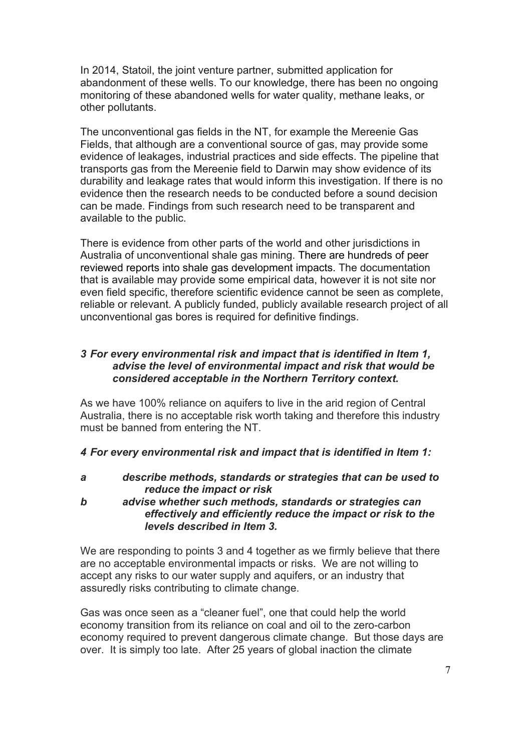In 2014, Statoil, the joint venture partner, submitted application for abandonment of these wells. To our knowledge, there has been no ongoing monitoring of these abandoned wells for water quality, methane leaks, or other pollutants.

The unconventional gas fields in the NT, for example the Mereenie Gas Fields, that although are a conventional source of gas, may provide some evidence of leakages, industrial practices and side effects. The pipeline that transports gas from the Mereenie field to Darwin may show evidence of its durability and leakage rates that would inform this investigation. If there is no evidence then the research needs to be conducted before a sound decision can be made. Findings from such research need to be transparent and available to the public.

There is evidence from other parts of the world and other jurisdictions in Australia of unconventional shale gas mining. There are hundreds of peer reviewed reports into shale gas development impacts. The documentation that is available may provide some empirical data, however it is not site nor even field specific, therefore scientific evidence cannot be seen as complete, reliable or relevant. A publicly funded, publicly available research project of all unconventional gas bores is required for definitive findings.

# *3 For every environmental risk and impact that is identified in Item 1, advise the level of environmental impact and risk that would be considered acceptable in the Northern Territory context.*

As we have 100% reliance on aquifers to live in the arid region of Central Australia, there is no acceptable risk worth taking and therefore this industry must be banned from entering the NT.

# *4 For every environmental risk and impact that is identified in Item 1:*

*a describe methods, standards or strategies that can be used to reduce the impact or risk*

*b advise whether such methods, standards or strategies can effectively and efficiently reduce the impact or risk to the levels described in Item 3.*

We are responding to points 3 and 4 together as we firmly believe that there are no acceptable environmental impacts or risks. We are not willing to accept any risks to our water supply and aquifers, or an industry that assuredly risks contributing to climate change.

Gas was once seen as a "cleaner fuel", one that could help the world economy transition from its reliance on coal and oil to the zero-carbon economy required to prevent dangerous climate change. But those days are over. It is simply too late. After 25 years of global inaction the climate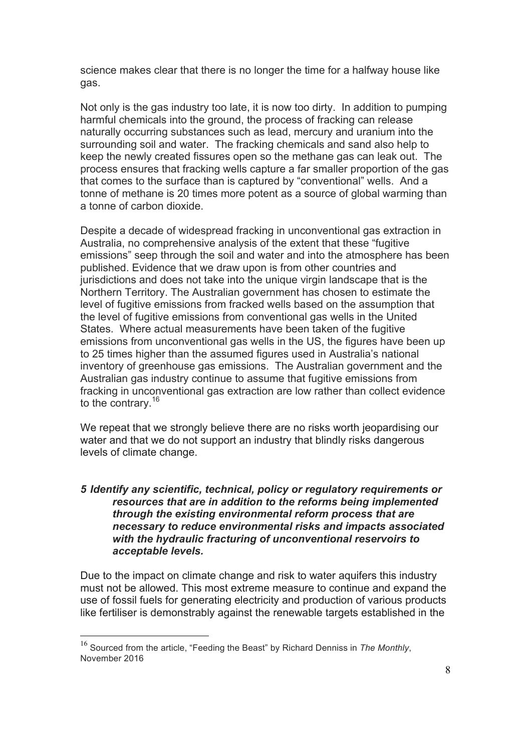science makes clear that there is no longer the time for a halfway house like gas.

Not only is the gas industry too late, it is now too dirty. In addition to pumping harmful chemicals into the ground, the process of fracking can release naturally occurring substances such as lead, mercury and uranium into the surrounding soil and water. The fracking chemicals and sand also help to keep the newly created fissures open so the methane gas can leak out. The process ensures that fracking wells capture a far smaller proportion of the gas that comes to the surface than is captured by "conventional" wells. And a tonne of methane is 20 times more potent as a source of global warming than a tonne of carbon dioxide.

Despite a decade of widespread fracking in unconventional gas extraction in Australia, no comprehensive analysis of the extent that these "fugitive emissions" seep through the soil and water and into the atmosphere has been published. Evidence that we draw upon is from other countries and jurisdictions and does not take into the unique virgin landscape that is the Northern Territory. The Australian government has chosen to estimate the level of fugitive emissions from fracked wells based on the assumption that the level of fugitive emissions from conventional gas wells in the United States. Where actual measurements have been taken of the fugitive emissions from unconventional gas wells in the US, the figures have been up to 25 times higher than the assumed figures used in Australia's national inventory of greenhouse gas emissions. The Australian government and the Australian gas industry continue to assume that fugitive emissions from fracking in unconventional gas extraction are low rather than collect evidence to the contrary.<sup>16</sup>

We repeat that we strongly believe there are no risks worth jeopardising our water and that we do not support an industry that blindly risks dangerous levels of climate change.

### *5 Identify any scientific, technical, policy or regulatory requirements or resources that are in addition to the reforms being implemented through the existing environmental reform process that are necessary to reduce environmental risks and impacts associated with the hydraulic fracturing of unconventional reservoirs to acceptable levels.*

Due to the impact on climate change and risk to water aquifers this industry must not be allowed. This most extreme measure to continue and expand the use of fossil fuels for generating electricity and production of various products like fertiliser is demonstrably against the renewable targets established in the

<sup>16</sup> Sourced from the article, "Feeding the Beast" by Richard Denniss in *The Monthly*, November 2016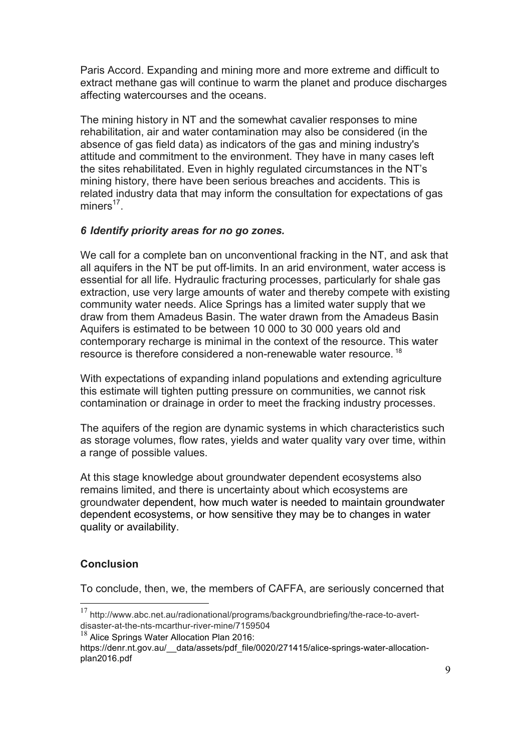Paris Accord. Expanding and mining more and more extreme and difficult to extract methane gas will continue to warm the planet and produce discharges affecting watercourses and the oceans.

The mining history in NT and the somewhat cavalier responses to mine rehabilitation, air and water contamination may also be considered (in the absence of gas field data) as indicators of the gas and mining industry's attitude and commitment to the environment. They have in many cases left the sites rehabilitated. Even in highly regulated circumstances in the NT's mining history, there have been serious breaches and accidents. This is related industry data that may inform the consultation for expectations of gas  $miners<sup>17</sup>$ .

# *6 Identify priority areas for no go zones.*

We call for a complete ban on unconventional fracking in the NT, and ask that all aquifers in the NT be put off-limits. In an arid environment, water access is essential for all life. Hydraulic fracturing processes, particularly for shale gas extraction, use very large amounts of water and thereby compete with existing community water needs. Alice Springs has a limited water supply that we draw from them Amadeus Basin. The water drawn from the Amadeus Basin Aquifers is estimated to be between 10 000 to 30 000 years old and contemporary recharge is minimal in the context of the resource. This water resource is therefore considered a non-renewable water resource. <sup>18</sup>

With expectations of expanding inland populations and extending agriculture this estimate will tighten putting pressure on communities, we cannot risk contamination or drainage in order to meet the fracking industry processes.

The aquifers of the region are dynamic systems in which characteristics such as storage volumes, flow rates, yields and water quality vary over time, within a range of possible values.

At this stage knowledge about groundwater dependent ecosystems also remains limited, and there is uncertainty about which ecosystems are groundwater dependent, how much water is needed to maintain groundwater dependent ecosystems, or how sensitive they may be to changes in water quality or availability.

# **Conclusion**

To conclude, then, we, the members of CAFFA, are seriously concerned that

 <sup>17</sup> http://www.abc.net.au/radionational/programs/backgroundbriefing/the-race-to-avertdisaster-at-the-nts-mcarthur-river-mine/7159504

 $18$  Alice Springs Water Allocation Plan 2016:

https://denr.nt.gov.au/ data/assets/pdf file/0020/271415/alice-springs-water-allocationplan2016.pdf